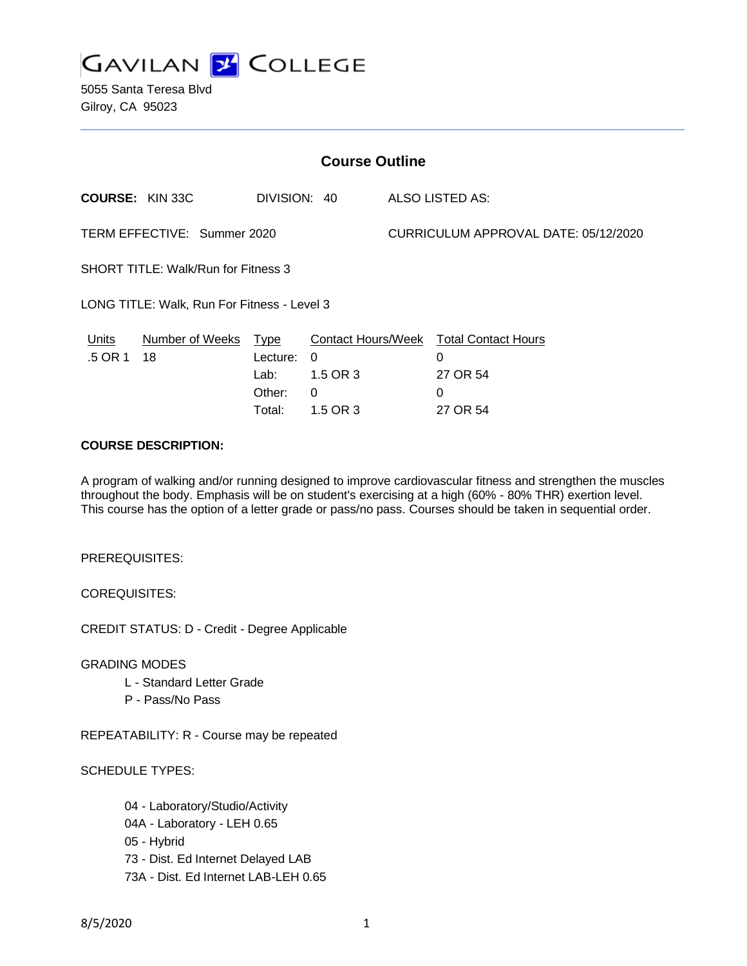

5055 Santa Teresa Blvd Gilroy, CA 95023

| <b>Course Outline</b>                       |                        |              |          |                                      |                                        |
|---------------------------------------------|------------------------|--------------|----------|--------------------------------------|----------------------------------------|
|                                             | <b>COURSE: KIN 33C</b> | DIVISION: 40 |          |                                      | ALSO LISTED AS:                        |
| TERM EFFECTIVE: Summer 2020                 |                        |              |          | CURRICULUM APPROVAL DATE: 05/12/2020 |                                        |
| <b>SHORT TITLE: Walk/Run for Fitness 3</b>  |                        |              |          |                                      |                                        |
| LONG TITLE: Walk, Run For Fitness - Level 3 |                        |              |          |                                      |                                        |
| Units                                       | Number of Weeks Type   |              |          |                                      | Contact Hours/Week Total Contact Hours |
| .5 OR 1                                     | 18                     | Lecture:     | $\Omega$ |                                      | 0                                      |
|                                             |                        | Lab:         | 1.5 OR 3 |                                      | 27 OR 54                               |
|                                             |                        | Other:       | 0        |                                      | 0                                      |
|                                             |                        | Total:       | 1.5 OR 3 |                                      | 27 OR 54                               |

### **COURSE DESCRIPTION:**

A program of walking and/or running designed to improve cardiovascular fitness and strengthen the muscles throughout the body. Emphasis will be on student's exercising at a high (60% - 80% THR) exertion level. This course has the option of a letter grade or pass/no pass. Courses should be taken in sequential order.

PREREQUISITES:

COREQUISITES:

CREDIT STATUS: D - Credit - Degree Applicable

GRADING MODES

- L Standard Letter Grade
- P Pass/No Pass

REPEATABILITY: R - Course may be repeated

SCHEDULE TYPES:

04 - Laboratory/Studio/Activity 04A - Laboratory - LEH 0.65 05 - Hybrid 73 - Dist. Ed Internet Delayed LAB 73A - Dist. Ed Internet LAB-LEH 0.65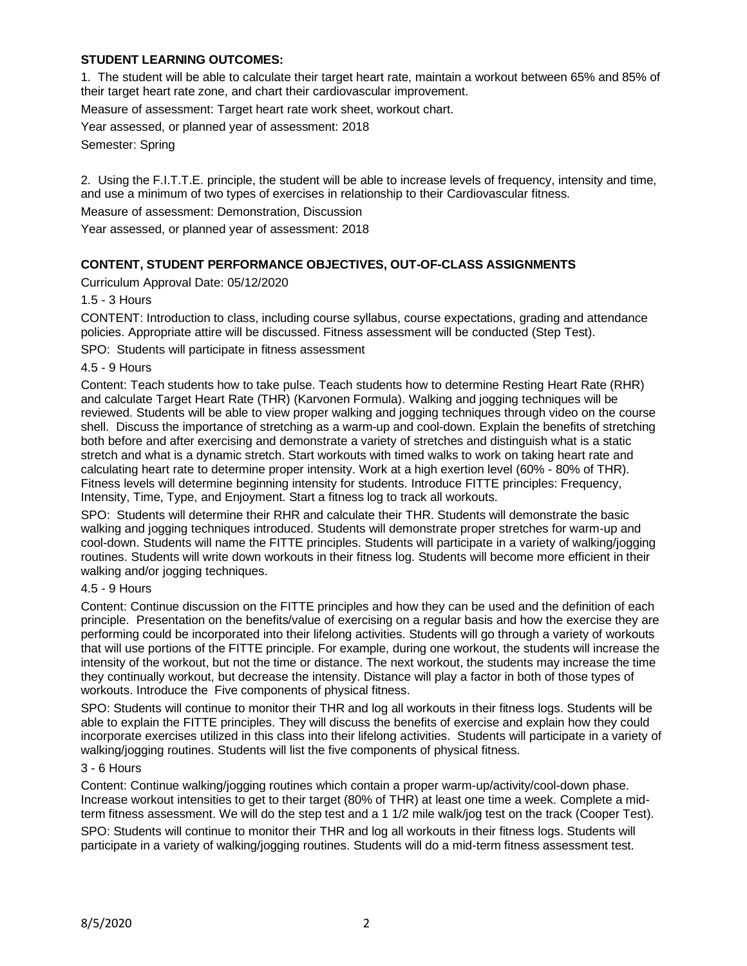# **STUDENT LEARNING OUTCOMES:**

1. The student will be able to calculate their target heart rate, maintain a workout between 65% and 85% of their target heart rate zone, and chart their cardiovascular improvement.

Measure of assessment: Target heart rate work sheet, workout chart.

Year assessed, or planned year of assessment: 2018

Semester: Spring

2. Using the F.I.T.T.E. principle, the student will be able to increase levels of frequency, intensity and time, and use a minimum of two types of exercises in relationship to their Cardiovascular fitness.

Measure of assessment: Demonstration, Discussion

Year assessed, or planned year of assessment: 2018

## **CONTENT, STUDENT PERFORMANCE OBJECTIVES, OUT-OF-CLASS ASSIGNMENTS**

Curriculum Approval Date: 05/12/2020

1.5 - 3 Hours

CONTENT: Introduction to class, including course syllabus, course expectations, grading and attendance policies. Appropriate attire will be discussed. Fitness assessment will be conducted (Step Test).

SPO: Students will participate in fitness assessment

4.5 - 9 Hours

Content: Teach students how to take pulse. Teach students how to determine Resting Heart Rate (RHR) and calculate Target Heart Rate (THR) (Karvonen Formula). Walking and jogging techniques will be reviewed. Students will be able to view proper walking and jogging techniques through video on the course shell. Discuss the importance of stretching as a warm-up and cool-down. Explain the benefits of stretching both before and after exercising and demonstrate a variety of stretches and distinguish what is a static stretch and what is a dynamic stretch. Start workouts with timed walks to work on taking heart rate and calculating heart rate to determine proper intensity. Work at a high exertion level (60% - 80% of THR). Fitness levels will determine beginning intensity for students. Introduce FITTE principles: Frequency, Intensity, Time, Type, and Enjoyment. Start a fitness log to track all workouts.

SPO: Students will determine their RHR and calculate their THR. Students will demonstrate the basic walking and jogging techniques introduced. Students will demonstrate proper stretches for warm-up and cool-down. Students will name the FITTE principles. Students will participate in a variety of walking/jogging routines. Students will write down workouts in their fitness log. Students will become more efficient in their walking and/or jogging techniques.

#### 4.5 - 9 Hours

Content: Continue discussion on the FITTE principles and how they can be used and the definition of each principle. Presentation on the benefits/value of exercising on a regular basis and how the exercise they are performing could be incorporated into their lifelong activities. Students will go through a variety of workouts that will use portions of the FITTE principle. For example, during one workout, the students will increase the intensity of the workout, but not the time or distance. The next workout, the students may increase the time they continually workout, but decrease the intensity. Distance will play a factor in both of those types of workouts. Introduce the Five components of physical fitness.

SPO: Students will continue to monitor their THR and log all workouts in their fitness logs. Students will be able to explain the FITTE principles. They will discuss the benefits of exercise and explain how they could incorporate exercises utilized in this class into their lifelong activities. Students will participate in a variety of walking/jogging routines. Students will list the five components of physical fitness.

#### 3 - 6 Hours

Content: Continue walking/jogging routines which contain a proper warm-up/activity/cool-down phase. Increase workout intensities to get to their target (80% of THR) at least one time a week. Complete a midterm fitness assessment. We will do the step test and a 1 1/2 mile walk/jog test on the track (Cooper Test).

SPO: Students will continue to monitor their THR and log all workouts in their fitness logs. Students will participate in a variety of walking/jogging routines. Students will do a mid-term fitness assessment test.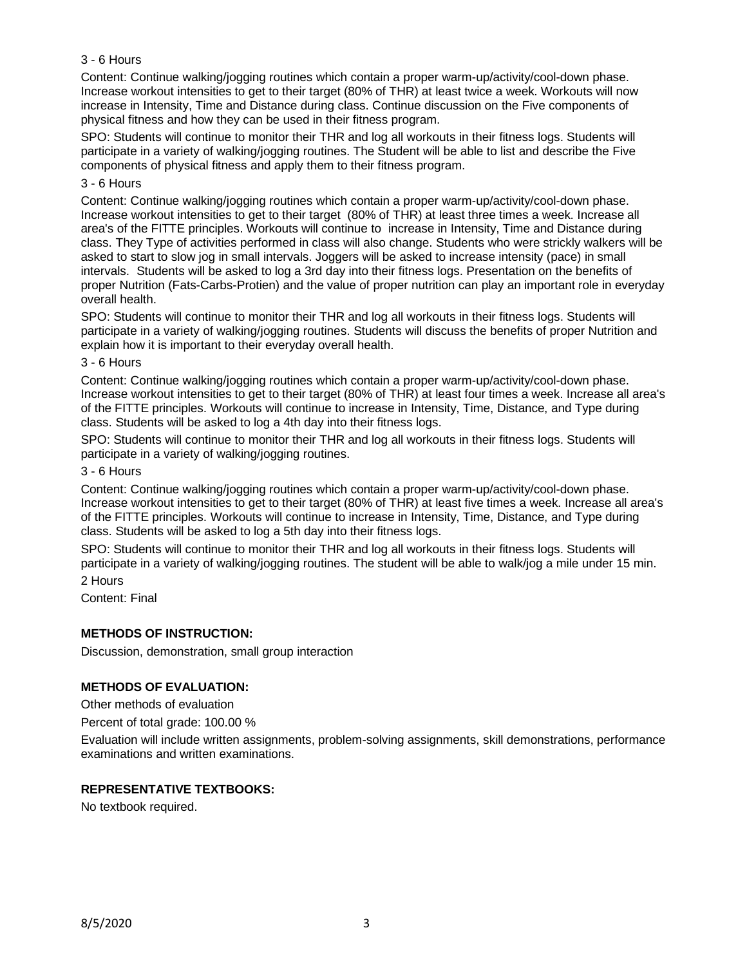## 3 - 6 Hours

Content: Continue walking/jogging routines which contain a proper warm-up/activity/cool-down phase. Increase workout intensities to get to their target (80% of THR) at least twice a week. Workouts will now increase in Intensity, Time and Distance during class. Continue discussion on the Five components of physical fitness and how they can be used in their fitness program.

SPO: Students will continue to monitor their THR and log all workouts in their fitness logs. Students will participate in a variety of walking/jogging routines. The Student will be able to list and describe the Five components of physical fitness and apply them to their fitness program.

#### 3 - 6 Hours

Content: Continue walking/jogging routines which contain a proper warm-up/activity/cool-down phase. Increase workout intensities to get to their target (80% of THR) at least three times a week. Increase all area's of the FITTE principles. Workouts will continue to increase in Intensity, Time and Distance during class. They Type of activities performed in class will also change. Students who were strickly walkers will be asked to start to slow jog in small intervals. Joggers will be asked to increase intensity (pace) in small intervals. Students will be asked to log a 3rd day into their fitness logs. Presentation on the benefits of proper Nutrition (Fats-Carbs-Protien) and the value of proper nutrition can play an important role in everyday overall health.

SPO: Students will continue to monitor their THR and log all workouts in their fitness logs. Students will participate in a variety of walking/jogging routines. Students will discuss the benefits of proper Nutrition and explain how it is important to their everyday overall health.

#### 3 - 6 Hours

Content: Continue walking/jogging routines which contain a proper warm-up/activity/cool-down phase. Increase workout intensities to get to their target (80% of THR) at least four times a week. Increase all area's of the FITTE principles. Workouts will continue to increase in Intensity, Time, Distance, and Type during class. Students will be asked to log a 4th day into their fitness logs.

SPO: Students will continue to monitor their THR and log all workouts in their fitness logs. Students will participate in a variety of walking/jogging routines.

#### 3 - 6 Hours

Content: Continue walking/jogging routines which contain a proper warm-up/activity/cool-down phase. Increase workout intensities to get to their target (80% of THR) at least five times a week. Increase all area's of the FITTE principles. Workouts will continue to increase in Intensity, Time, Distance, and Type during class. Students will be asked to log a 5th day into their fitness logs.

SPO: Students will continue to monitor their THR and log all workouts in their fitness logs. Students will participate in a variety of walking/jogging routines. The student will be able to walk/jog a mile under 15 min.

2 Hours

Content: Final

## **METHODS OF INSTRUCTION:**

Discussion, demonstration, small group interaction

## **METHODS OF EVALUATION:**

Other methods of evaluation

Percent of total grade: 100.00 %

Evaluation will include written assignments, problem-solving assignments, skill demonstrations, performance examinations and written examinations.

## **REPRESENTATIVE TEXTBOOKS:**

No textbook required.